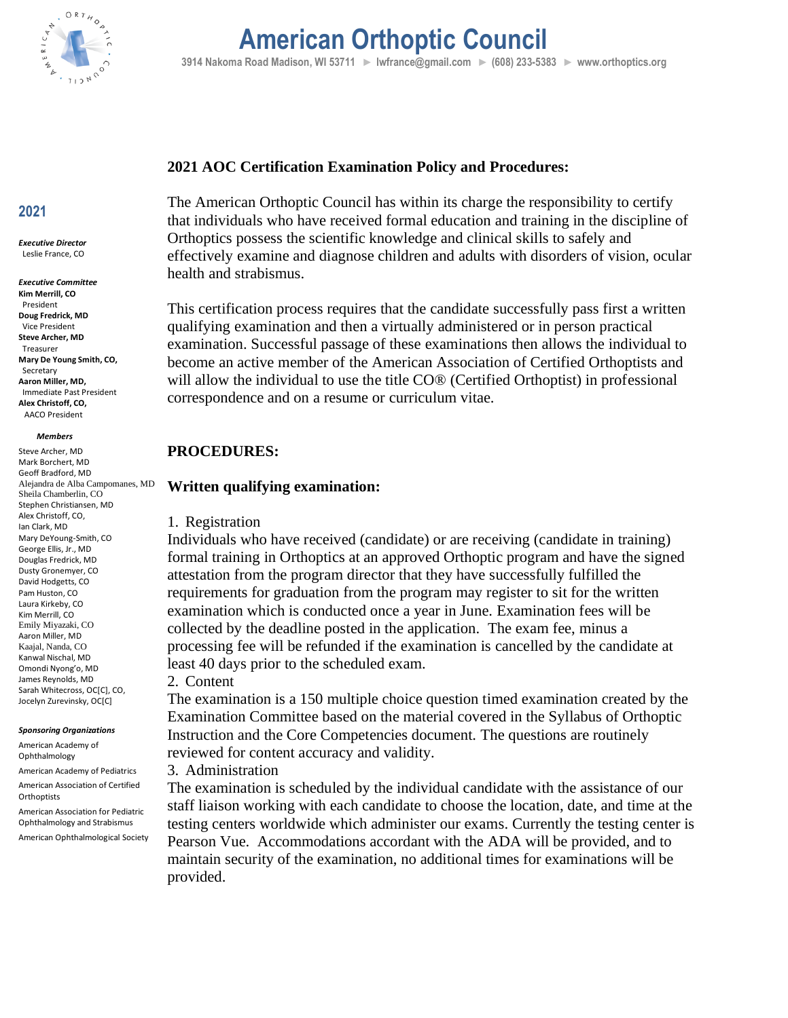

## **American Orthoptic Council 3914 Nakoma Road Madison, WI 53711 ► lwfrance@gmail.com ► (608) 233-5383 ► www.orthoptics.org**

### **2021 AOC Certification Examination Policy and Procedures:**

The American Orthoptic Council has within its charge the responsibility to certify that individuals who have received formal education and training in the discipline of Orthoptics possess the scientific knowledge and clinical skills to safely and effectively examine and diagnose children and adults with disorders of vision, ocular health and strabismus.

This certification process requires that the candidate successfully pass first a written qualifying examination and then a virtually administered or in person practical examination. Successful passage of these examinations then allows the individual to become an active member of the American Association of Certified Orthoptists and will allow the individual to use the title CO® (Certified Orthoptist) in professional correspondence and on a resume or curriculum vitae.

#### **PROCEDURES:**

#### **Written qualifying examination:**

#### 1. Registration

Individuals who have received (candidate) or are receiving (candidate in training) formal training in Orthoptics at an approved Orthoptic program and have the signed attestation from the program director that they have successfully fulfilled the requirements for graduation from the program may register to sit for the written examination which is conducted once a year in June. Examination fees will be collected by the deadline posted in the application. The exam fee, minus a processing fee will be refunded if the examination is cancelled by the candidate at least 40 days prior to the scheduled exam.

#### 2. Content

The examination is a 150 multiple choice question timed examination created by the Examination Committee based on the material covered in the Syllabus of Orthoptic Instruction and the Core Competencies document. The questions are routinely reviewed for content accuracy and validity.

3. Administration

The examination is scheduled by the individual candidate with the assistance of our staff liaison working with each candidate to choose the location, date, and time at the testing centers worldwide which administer our exams. Currently the testing center is Pearson Vue. Accommodations accordant with the ADA will be provided, and to maintain security of the examination, no additional times for examinations will be provided.

## **2021**

*Executive Director* Leslie France, CO

*Executive Committee* **Kim Merrill, CO** President **Doug Fredrick, MD** Vice President **Steve Archer, MD** Treasurer **Mary De Young Smith, CO,**  Secretary **Aaron Miller, MD,** Immediate Past President **Alex Christoff, CO,** AACO President

#### *Members*

Steve Archer, MD Mark Borchert, MD Geoff Bradford, MD Alejandra de Alba Campomanes, MD Sheila Chamberlin, CO Stephen Christiansen, MD Alex Christoff, CO, Ian Clark, MD Mary DeYoung-Smith, CO George Ellis, Jr., MD Douglas Fredrick, MD Dusty Gronemyer, CO David Hodgetts, CO Pam Huston, CO Laura Kirkeby, CO Kim Merrill, CO Emily Miyazaki, CO Aaron Miller, MD Kaajal, Nanda, CO Kanwal Nischal, MD Omondi Nyong'o, MD James Reynolds, MD Sarah Whitecross, OC[C], CO, Jocelyn Zurevinsky, OC[C]

#### *Sponsoring Organizations*

American Academy of Ophthalmology

American Academy of Pediatrics American Association of Certified

**Orthoptists** 

American Association for Pediatric Ophthalmology and Strabismus

American Ophthalmological Society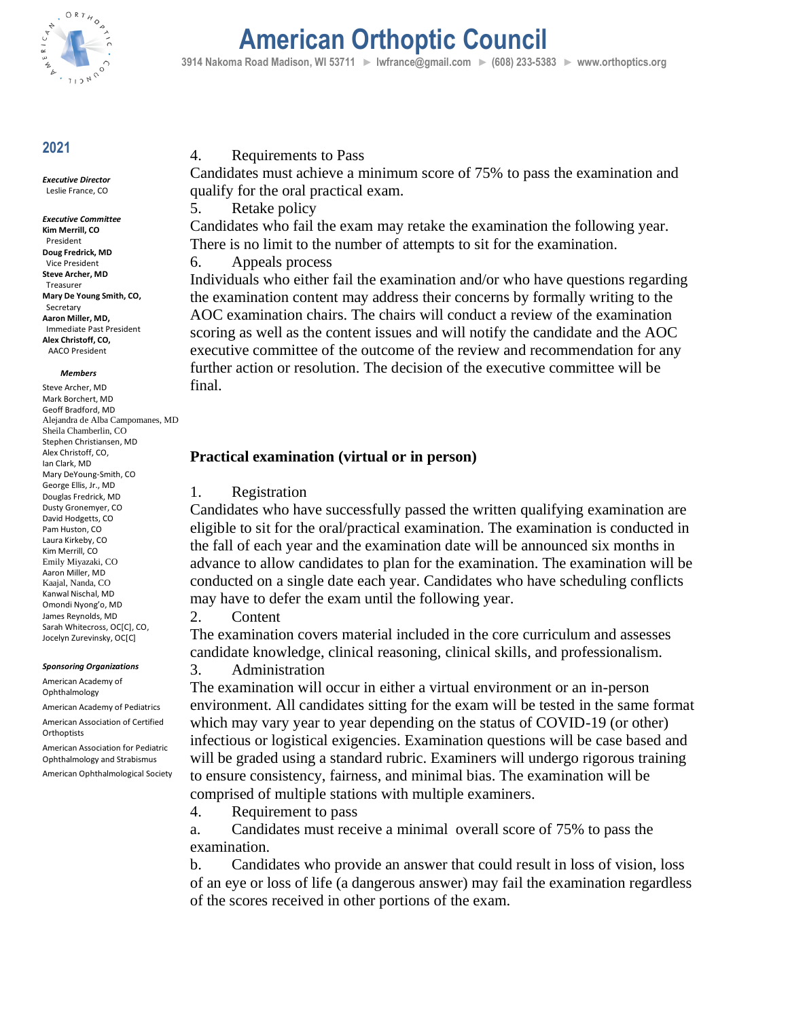

## **American Orthoptic Council**

 **3914 Nakoma Road Madison, WI 53711 ► lwfrance@gmail.com ► (608) 233-5383 ► www.orthoptics.org**

## **2021**

*Executive Director* Leslie France, CO

*Executive Committee* **Kim Merrill, CO** President **Doug Fredrick, MD** Vice President **Steve Archer, MD** Treasurer **Mary De Young Smith, CO,**  Secretary **Aaron Miller, MD,** Immediate Past President **Alex Christoff, CO,** AACO President

#### *Members*

Steve Archer, MD Mark Borchert, MD Geoff Bradford, MD Alejandra de Alba Campomanes, MD Sheila Chamberlin, CO Stephen Christiansen, MD Alex Christoff, CO, Ian Clark, MD Mary DeYoung-Smith, CO George Ellis, Jr., MD Douglas Fredrick, MD Dusty Gronemyer, CO David Hodgetts, CO Pam Huston, CO Laura Kirkeby, CO Kim Merrill, CO Emily Miyazaki, CO Aaron Miller, MD Kaajal, Nanda, CO Kanwal Nischal, MD Omondi Nyong'o, MD James Reynolds, MD Sarah Whitecross, OC[C], CO, Jocelyn Zurevinsky, OC[C]

#### *Sponsoring Organizations*

American Academy of Ophthalmology American Academy of Pediatrics American Association of Certified

Orthoptists American Association for Pediatric Ophthalmology and Strabismus

American Ophthalmological Society

### 4. Requirements to Pass

Candidates must achieve a minimum score of 75% to pass the examination and qualify for the oral practical exam.

5. Retake policy

Candidates who fail the exam may retake the examination the following year. There is no limit to the number of attempts to sit for the examination.

6. Appeals process

Individuals who either fail the examination and/or who have questions regarding the examination content may address their concerns by formally writing to the AOC examination chairs. The chairs will conduct a review of the examination scoring as well as the content issues and will notify the candidate and the AOC executive committee of the outcome of the review and recommendation for any further action or resolution. The decision of the executive committee will be final.

## **Practical examination (virtual or in person)**

#### 1. Registration

Candidates who have successfully passed the written qualifying examination are eligible to sit for the oral/practical examination. The examination is conducted in the fall of each year and the examination date will be announced six months in advance to allow candidates to plan for the examination. The examination will be conducted on a single date each year. Candidates who have scheduling conflicts may have to defer the exam until the following year.

2. Content

The examination covers material included in the core curriculum and assesses candidate knowledge, clinical reasoning, clinical skills, and professionalism.

#### 3. Administration

The examination will occur in either a virtual environment or an in-person environment. All candidates sitting for the exam will be tested in the same format which may vary year to year depending on the status of COVID-19 (or other) infectious or logistical exigencies. Examination questions will be case based and will be graded using a standard rubric. Examiners will undergo rigorous training to ensure consistency, fairness, and minimal bias. The examination will be comprised of multiple stations with multiple examiners.

4. Requirement to pass

a. Candidates must receive a minimal overall score of 75% to pass the examination.

b. Candidates who provide an answer that could result in loss of vision, loss of an eye or loss of life (a dangerous answer) may fail the examination regardless of the scores received in other portions of the exam.